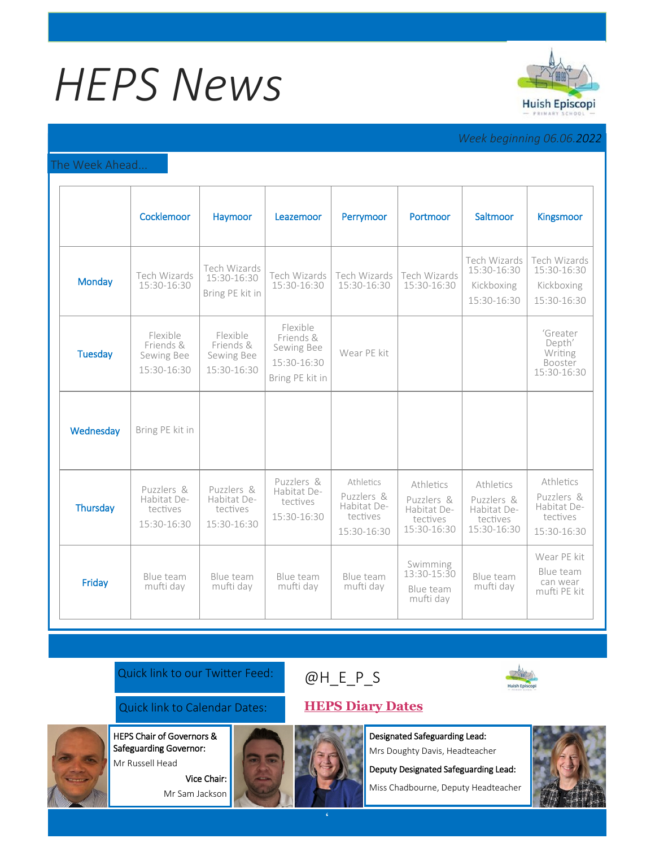# *HEPS News*



# *Week beginning 06.06.2022*

### The Week Ahead...

|                | Cocklemoor                                           | Haymoor                                              | Leazemoor                                                             | Perrymoor                                                         | Portmoor                                                          | Saltmoor                                                          | <b>Kingsmoor</b>                                                  |
|----------------|------------------------------------------------------|------------------------------------------------------|-----------------------------------------------------------------------|-------------------------------------------------------------------|-------------------------------------------------------------------|-------------------------------------------------------------------|-------------------------------------------------------------------|
| Monday         | Tech Wizards<br>15:30-16:30                          | Tech Wizards<br>15:30-16:30<br>Bring PE kit in       | Tech Wizards<br>15:30-16:30                                           | Tech Wizards<br>15:30-16:30                                       | Tech Wizards<br>15:30-16:30                                       | Tech Wizards<br>15:30-16:30<br>Kickboxing<br>15:30-16:30          | Tech Wizards<br>15:30-16:30<br>Kickboxing<br>15:30-16:30          |
| <b>Tuesday</b> | Flexible<br>Friends &<br>Sewing Bee<br>15:30-16:30   | Flexible<br>Friends &<br>Sewing Bee<br>15:30-16:30   | Flexible<br>Friends &<br>Sewing Bee<br>15:30-16:30<br>Bring PE kit in | Wear PE kit                                                       |                                                                   |                                                                   | 'Greater<br>Depth'<br>Writing<br>Booster<br>15:30-16:30           |
| Wednesday      | Bring PE kit in                                      |                                                      |                                                                       |                                                                   |                                                                   |                                                                   |                                                                   |
| Thursday       | Puzzlers &<br>Habitat De-<br>tectives<br>15:30-16:30 | Puzzlers &<br>Habitat De-<br>tectives<br>15:30-16:30 | Puzzlers &<br>Habitat De-<br>tectives<br>15:30-16:30                  | Athletics<br>Puzzlers &<br>Habitat De-<br>tectives<br>15:30-16:30 | Athletics<br>Puzzlers &<br>Habitat De-<br>tectives<br>15:30-16:30 | Athletics<br>Puzzlers &<br>Habitat De-<br>tectives<br>15:30-16:30 | Athletics<br>Puzzlers &<br>Habitat De-<br>tectives<br>15:30-16:30 |
| Friday         | Blue team<br>mufti day                               | Blue team<br>mufti day                               | Blue team<br>mufti day                                                | Blue team<br>mufti day                                            | Swimming<br>13:30-15:30<br>Blue team<br>mufti day                 | Blue team<br>mufti day                                            | Wear PE kit<br>Blue team<br>can wear<br>mufti PE kit              |

## Quick link to our Twitter Feed:

## Quick link to Calendar Dates: **[HEPS Diary Dates](https://huishepiscopiprimary.co.uk/diary-dates/)**

HEPS Chair of Governors &

Safeguarding Governor: Mr Russell Head

> Vice Chair: Mr Sam Jackson



Designated Safeguarding Lead: Mrs Doughty Davis, Headteacher

Deputy Designated Safeguarding Lead:

Miss Chadbourne, Deputy Headteacher



[@H\\_E\\_](https://huishepiscopiprimary.co.uk/diary-dates/)P\_S